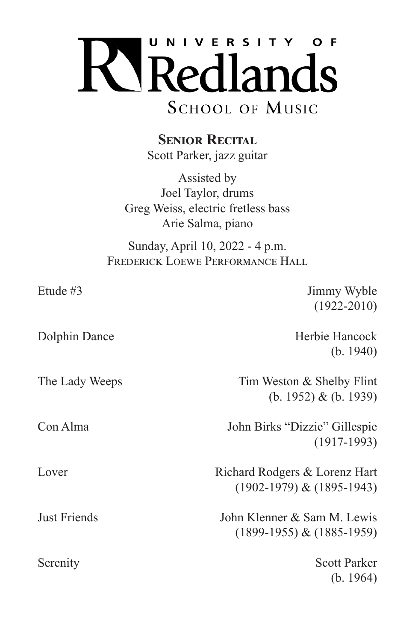

**SENIOR RECITAL** 

Scott Parker, jazz guitar

Assisted by Joel Taylor, drums Greg Weiss, electric fretless bass Arie Salma, piano

Sunday, April 10, 2022 - 4 p.m. FREDERICK LOEWE PERFORMANCE HALL

| $(1922 - 2010)$               |
|-------------------------------|
|                               |
| Herbie Hancock                |
| (b. 1940)                     |
| Tim Weston & Shelby Flint     |
| (b. 1952) & (b. 1939)         |
| John Birks "Dizzie" Gillespie |
| $(1917-1993)$                 |
| Richard Rodgers & Lorenz Hart |
| $(1902-1979)$ & $(1895-1943)$ |
| John Klenner & Sam M. Lewis   |
| $(1899-1955) & (1885-1959)$   |
| <b>Scott Parker</b>           |
| (b. 1964)                     |
|                               |